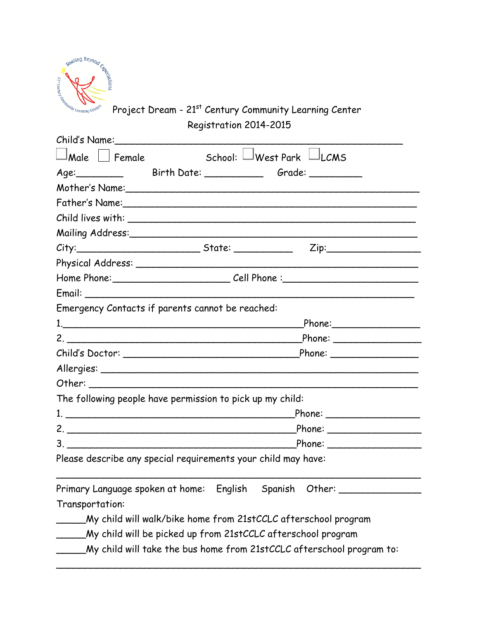| coaring Beyond<br>actation<br>ATA CONSTRUCTION CENTRED                             |
|------------------------------------------------------------------------------------|
| Project Dream - 21 <sup>st</sup> Century Community Learning Center                 |
| Registration 2014-2015                                                             |
|                                                                                    |
| School: $\Box$ West Park $\Box$ LCMS<br>$\Box$ Male $\Box$ Female                  |
| Age: Birth Date: Grade: Grade:                                                     |
|                                                                                    |
|                                                                                    |
|                                                                                    |
|                                                                                    |
|                                                                                    |
|                                                                                    |
|                                                                                    |
|                                                                                    |
| Emergency Contacts if parents cannot be reached:                                   |
|                                                                                    |
|                                                                                    |
|                                                                                    |
|                                                                                    |
|                                                                                    |
| The following people have permission to pick up my child:                          |
| Phone: ____________________                                                        |
|                                                                                    |
|                                                                                    |
| Please describe any special requirements your child may have:                      |
| Primary Language spoken at home: English Spanish Other:<br>Transportation:         |
| ____My child will walk/bike home from 21stCCLC afterschool program                 |
| _____My child will be picked up from 21stCCLC afterschool program                  |
| $\_\_\_\_\_$ My child will take the bus home from 21stCCLC afterschool program to: |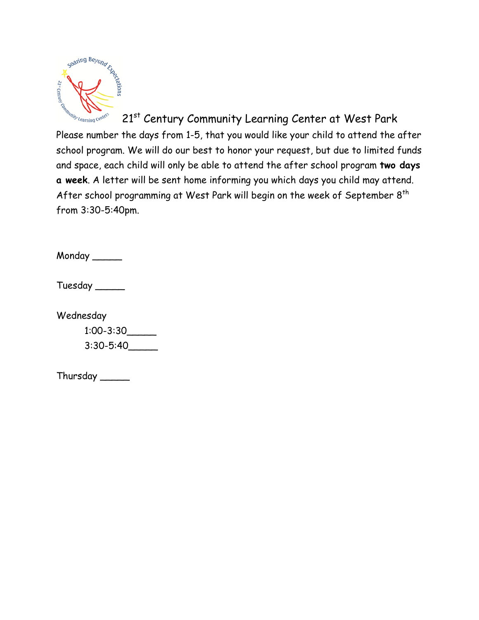

21<sup>st</sup> Century Community Learning Center at West Park Ty Learning Center Please number the days from 1-5, that you would like your child to attend the after school program. We will do our best to honor your request, but due to limited funds and space, each child will only be able to attend the after school program **two days a week**. A letter will be sent home informing you which days you child may attend. After school programming at West Park will begin on the week of September 8<sup>th</sup> from 3:30-5:40pm.

Monday

Tuesday \_\_\_\_\_

Wednesday

1:00-3:30\_\_\_\_\_ 3:30-5:40\_\_\_\_\_

Thursday \_\_\_\_\_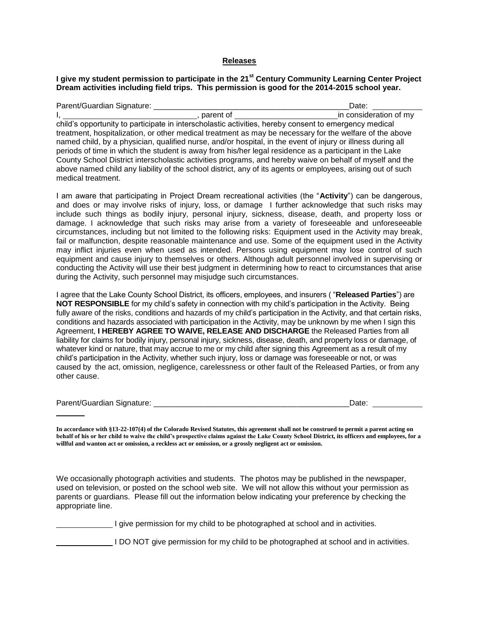## **Releases**

## **I give my student permission to participate in the 21st Century Community Learning Center Project Dream activities including field trips. This permission is good for the 2014-2015 school year.**

| Parent/Guardian Signature:                                                                                                                                                                                                                                                                                                                                                                                                                                                                                                                                                        | Date:                  |
|-----------------------------------------------------------------------------------------------------------------------------------------------------------------------------------------------------------------------------------------------------------------------------------------------------------------------------------------------------------------------------------------------------------------------------------------------------------------------------------------------------------------------------------------------------------------------------------|------------------------|
| parent of                                                                                                                                                                                                                                                                                                                                                                                                                                                                                                                                                                         | in consideration of my |
| child's opportunity to participate in interscholastic activities, hereby consent to emergency medical                                                                                                                                                                                                                                                                                                                                                                                                                                                                             |                        |
| treatment, hospitalization, or other medical treatment as may be necessary for the welfare of the above<br>named child, by a physician, qualified nurse, and/or hospital, in the event of injury or illness during all<br>periods of time in which the student is away from his/her legal residence as a participant in the Lake<br>County School District interscholastic activities programs, and hereby waive on behalf of myself and the<br>above named child any liability of the school district, any of its agents or employees, arising out of such<br>medical treatment. |                        |

I am aware that participating in Project Dream recreational activities (the "**Activity**") can be dangerous, and does or may involve risks of injury, loss, or damage I further acknowledge that such risks may include such things as bodily injury, personal injury, sickness, disease, death, and property loss or damage. I acknowledge that such risks may arise from a variety of foreseeable and unforeseeable circumstances, including but not limited to the following risks: Equipment used in the Activity may break, fail or malfunction, despite reasonable maintenance and use. Some of the equipment used in the Activity may inflict injuries even when used as intended. Persons using equipment may lose control of such equipment and cause injury to themselves or others. Although adult personnel involved in supervising or conducting the Activity will use their best judgment in determining how to react to circumstances that arise during the Activity, such personnel may misjudge such circumstances.

I agree that the Lake County School District, its officers, employees, and insurers ( "**Released Parties**") are **NOT RESPONSIBLE** for my child's safety in connection with my child's participation in the Activity. Being fully aware of the risks, conditions and hazards of my child's participation in the Activity, and that certain risks, conditions and hazards associated with participation in the Activity, may be unknown by me when I sign this Agreement, **I HEREBY AGREE TO WAIVE, RELEASE AND DISCHARGE** the Released Parties from all liability for claims for bodily injury, personal injury, sickness, disease, death, and property loss or damage, of whatever kind or nature, that may accrue to me or my child after signing this Agreement as a result of my child's participation in the Activity, whether such injury, loss or damage was foreseeable or not, or was caused by the act, omission, negligence, carelessness or other fault of the Released Parties, or from any other cause.

| Parent/Guardian Signature:<br>Date: |  |
|-------------------------------------|--|
|                                     |  |

We occasionally photograph activities and students. The photos may be published in the newspaper, used on television, or posted on the school web site. We will not allow this without your permission as parents or guardians. Please fill out the information below indicating your preference by checking the appropriate line.

I give permission for my child to be photographed at school and in activities.

I DO NOT give permission for my child to be photographed at school and in activities.

**In accordance with §13-22-107(4) of the Colorado Revised Statutes, this agreement shall not be construed to permit a parent acting on behalf of his or her child to waive the child's prospective claims against the Lake County School District, its officers and employees, for a willful and wanton act or omission, a reckless act or omission, or a grossly negligent act or omission.**